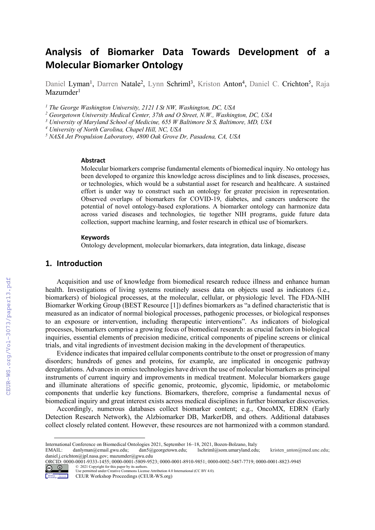# **Analysis of Biomarker Data Towards Development of a Molecular Biomarker Ontology**

Daniel Lyman<sup>1</sup>, Darren Natale<sup>2</sup>, Lynn Schriml<sup>3</sup>, Kriston Anton<sup>4</sup>, Daniel C. Crichton<sup>5</sup>, Raja Mazumder<sup>1</sup>

*<sup>1</sup> The George Washington University, 2121 I St NW, Washington, DC, USA*

*<sup>2</sup> Georgetown University Medical Center, 37th and O Street, N.W., Washington, DC, USA*

*<sup>3</sup> University of Maryland School of Medicine, 655 W Baltimore St S, Baltimore, MD, USA*

*<sup>4</sup> University of North Carolina, Chapel Hill, NC, USA*

*<sup>5</sup> NASA Jet Propulsion Laboratory, 4800 Oak Grove Dr, Pasadena, CA, USA*

#### **Abstract**

Molecular biomarkers comprise fundamental elements of biomedical inquiry. No ontology has been developed to organize this knowledge across disciplines and to link diseases, processes, or technologies, which would be a substantial asset for research and healthcare. A sustained effort is under way to construct such an ontology for greater precision in representation. Observed overlaps of biomarkers for COVID-19, diabetes, and cancers underscore the potential of novel ontology-based explorations. A biomarker ontology can harmonize data across varied diseases and technologies, tie together NIH programs, guide future data collection, support machine learning, and foster research in ethical use of biomarkers.

#### **Keywords**

Ontology development, molecular biomarkers, data integration, data linkage, disease

## **1. Introduction**

Acquisition and use of knowledge from biomedical research reduce illness and enhance human health. Investigations of living systems routinely assess data on objects used as indicators (i.e., biomarkers) of biological processes, at the molecular, cellular, or physiologic level. The FDA-NIH Biomarker Working Group (BEST Resource [1]) defines biomarkers as "a defined characteristic that is measured as an indicator of normal biological processes, pathogenic processes, or biological responses to an exposure or intervention, including therapeutic interventions". As indicators of biological processes, biomarkers comprise a growing focus of biomedical research: as crucial factors in biological inquiries, essential elements of precision medicine, critical components of pipeline screens or clinical trials, and vital ingredients of investment decision making in the development of therapeutics.

Evidence indicates that impaired cellular components contribute to the onset or progression of many disorders; hundreds of genes and proteins, for example, are implicated in oncogenic pathway deregulations. Advances in omics technologies have driven the use of molecular biomarkers as principal instruments of current inquiry and improvements in medical treatment. Molecular biomarkers gauge and illuminate alterations of specific genomic, proteomic, glycomic, lipidomic, or metabolomic components that underlie key functions. Biomarkers, therefore, comprise a fundamental nexus of biomedical inquiry and great interest exists across medical disciplines in further biomarker discoveries.

Accordingly, numerous databases collect biomarker content; e.g., OncoMX, EDRN (Early Detection Research Network), the Alzbiomarker DB, MarkerDB, and others. Additional databases collect closely related content. However, these resources are not harmonized with a common standard.

ORCID: 0000-0001-9333-1455; 0000-0001-5809-9523; 0000-0001-8910-9851; 0000-0002-5487-7719; 0000-0001-8823-9945



<sup>©</sup> 2021 Copyright for this paper by its authors. Use permitted under Creative Commons License Attribution 4.0 International (CC BY 4.0).

International Conference on Biomedical Ontologies 2021, September 16–18, 2021, Bozen-Bolzano, Italy

EMAIL: danlyman@email.gwu.edu; dan5@georgetown.edu; lschriml@som.umaryland.edu; kristen\_anton@med.unc.edu; daniel.j.crichton@jpl.nasa.gov; mazumder@gwu.edu

CEUR Workshop Proceedings (CEUR-WS.org)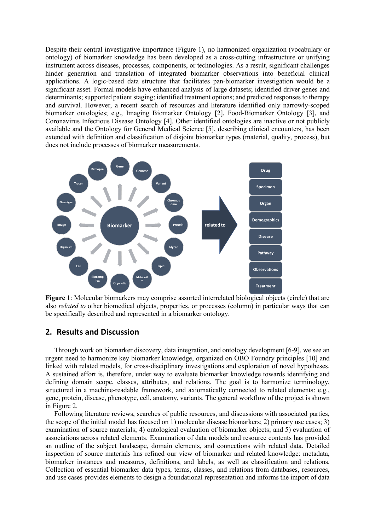Despite their central investigative importance (Figure 1), no harmonized organization (vocabulary or ontology) of biomarker knowledge has been developed as a cross-cutting infrastructure or unifying instrument across diseases, processes, components, or technologies. As a result, significant challenges hinder generation and translation of integrated biomarker observations into beneficial clinical applications. A logic-based data structure that facilitates pan-biomarker investigation would be a significant asset. Formal models have enhanced analysis of large datasets; identified driver genes and determinants; supported patient staging; identified treatment options; and predicted responses to therapy and survival. However, a recent search of resources and literature identified only narrowly-scoped biomarker ontologies; e.g., Imaging Biomarker Ontology [2], Food-Biomarker Ontology [3], and Coronavirus Infectious Disease Ontology [4]. Other identified ontologies are inactive or not publicly available and the Ontology for General Medical Science [5], describing clinical encounters, has been extended with definition and classification of disjoint biomarker types (material, quality, process), but does not include processes of biomarker measurements.



**Figure 1**: Molecular biomarkers may comprise assorted interrelated biological objects (circle) that are also *related to* other biomedical objects, properties, or processes (column) in particular ways that can be specifically described and represented in a biomarker ontology.

### **2. Results and Discussion**

Through work on biomarker discovery, data integration, and ontology development [6-9], we see an urgent need to harmonize key biomarker knowledge, organized on OBO Foundry principles [10] and linked with related models, for cross-disciplinary investigations and exploration of novel hypotheses. A sustained effort is, therefore, under way to evaluate biomarker knowledge towards identifying and defining domain scope, classes, attributes, and relations. The goal is to harmonize terminology, structured in a machine-readable framework, and axiomatically connected to related elements: e.g., gene, protein, disease, phenotype, cell, anatomy, variants. The general workflow of the project is shown in Figure 2.

Following literature reviews, searches of public resources, and discussions with associated parties, the scope of the initial model has focused on 1) molecular disease biomarkers; 2) primary use cases; 3) examination of source materials; 4) ontological evaluation of biomarker objects; and 5) evaluation of associations across related elements. Examination of data models and resource contents has provided an outline of the subject landscape, domain elements, and connections with related data. Detailed inspection of source materials has refined our view of biomarker and related knowledge: metadata, biomarker instances and measures, definitions, and labels, as well as classification and relations. Collection of essential biomarker data types, terms, classes, and relations from databases, resources, and use cases provides elements to design a foundational representation and informs the import of data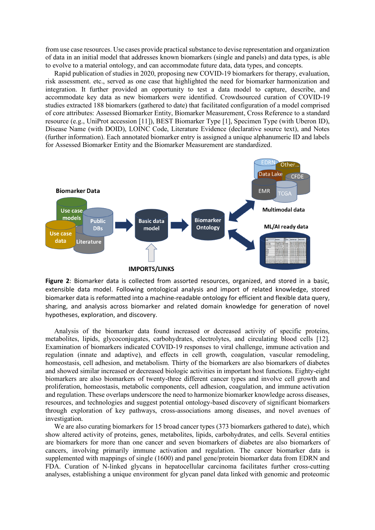from use case resources. Use cases provide practical substance to devise representation and organization of data in an initial model that addresses known biomarkers (single and panels) and data types, is able to evolve to a material ontology, and can accommodate future data, data types, and concepts.

Rapid publication of studies in 2020, proposing new COVID-19 biomarkers for therapy, evaluation, risk assessment. etc., served as one case that highlighted the need for biomarker harmonization and integration. It further provided an opportunity to test a data model to capture, describe, and accommodate key data as new biomarkers were identified. Crowdsourced curation of COVID-19 studies extracted 188 biomarkers (gathered to date) that facilitated configuration of a model comprised of core attributes: Assessed Biomarker Entity, Biomarker Measurement, Cross Reference to a standard resource (e.g., UniProt accession [11]), BEST Biomarker Type [1], Specimen Type (with Uberon ID), Disease Name (with DOID), LOINC Code, Literature Evidence (declarative source text), and Notes (further information). Each annotated biomarker entry is assigned a unique alphanumeric ID and labels for Assessed Biomarker Entity and the Biomarker Measurement are standardized.



**Figure 2**: Biomarker data is collected from assorted resources, organized, and stored in a basic, extensible data model. Following ontological analysis and import of related knowledge, stored biomarker data is reformatted into a machine-readable ontology for efficient and flexible data query, sharing, and analysis across biomarker and related domain knowledge for generation of novel hypotheses, exploration, and discovery.

Analysis of the biomarker data found increased or decreased activity of specific proteins, metabolites, lipids, glycoconjugates, carbohydrates, electrolytes, and circulating blood cells [12]. Examination of biomarkers indicated COVID-19 responses to viral challenge, immune activation and regulation (innate and adaptive), and effects in cell growth, coagulation, vascular remodeling, homeostasis, cell adhesion, and metabolism. Thirty of the biomarkers are also biomarkers of diabetes and showed similar increased or decreased biologic activities in important host functions. Eighty-eight biomarkers are also biomarkers of twenty-three different cancer types and involve cell growth and proliferation, homeostasis, metabolic components, cell adhesion, coagulation, and immune activation and regulation. These overlaps underscore the need to harmonize biomarker knowledge across diseases, resources, and technologies and suggest potential ontology-based discovery of significant biomarkers through exploration of key pathways, cross-associations among diseases, and novel avenues of investigation.

We are also curating biomarkers for 15 broad cancer types (373 biomarkers gathered to date), which show altered activity of proteins, genes, metabolites, lipids, carbohydrates, and cells. Several entities are biomarkers for more than one cancer and seven biomarkers of diabetes are also biomarkers of cancers, involving primarily immune activation and regulation. The cancer biomarker data is supplemented with mappings of single (1600) and panel gene/protein biomarker data from EDRN and FDA. Curation of N-linked glycans in hepatocellular carcinoma facilitates further cross-cutting analyses, establishing a unique environment for glycan panel data linked with genomic and proteomic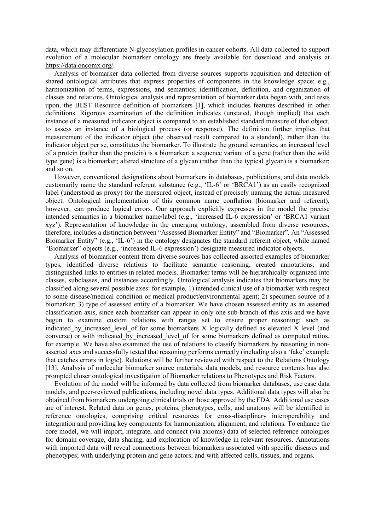data, which may differentiate N-glycosylation profiles in cancer cohorts. All data collected to support evolution of a molecular biomarker ontology are freely available for download and analysis at https://data.oncomx.org/.

Analysis of biomarker data collected from diverse sources supports acquisition and detection of shared ontological attributes that express properties of components in the knowledge space; e.g., harmonization of terms, expressions, and semantics; identification, definition, and organization of classes and relations. Ontological analysis and representation of biomarker data began with, and rests upon, the BEST Resource definition of biomarkers [1], which includes features described in other definitions. Rigorous examination of the definition indicates (unstated, though implied) that each instance of a measured indicator object is compared to an established standard measure of that object, to assess an instance of a biological process (or response). The definition further implies that measurement of the indicator object (the observed result compared to a standard), rather than the indicator object per se, constitutes the biomarker. To illustrate the ground semantics, an increased level of a protein (rather than the protein) is a biomarker; a sequence variant of a gene (rather than the wild type gene) is a biomarker; altered structure of a glycan (rather than the typical glycan) is a biomarker; and so on.

However, conventional designations about biomarkers in databases, publications, and data models customarily name the standard referent substance (e.g., 'IL-6' or 'BRCA1') as an easily recognized label (understood as proxy) for the measured object, instead of precisely naming the actual measured object. Ontological implementation of this common name conflation (biomarker and referent), however, can produce logical errors. Our approach explicitly expresses in the model the precise intended semantics in a biomarker name/label (e.g., 'increased IL-6 expression' or 'BRCA1 variant xyz'). Representation of knowledge in the emerging ontology, assembled from diverse resources, therefore, includes a distinction between "Assessed Biomarker Entity" and "Biomarker". An "Assessed Biomarker Entity" (e.g., 'IL-6') in the ontology designates the standard referent object, while named "Biomarker" objects (e.g., 'increased IL-6 expression') designate measured indicator objects.

Analysis of biomarker content from diverse sources has collected assorted examples of biomarker types, identified diverse relations to facilitate semantic reasoning, created annotations, and distinguished links to entities in related models. Biomarker terms will be hierarchically organized into classes, subclasses, and instances accordingly. Ontological analysis indicates that biomarkers may be classified along several possible axes: for example, 1) intended clinical use of a biomarker with respect to some disease/medical condition or medical product/environmental agent; 2) specimen source of a biomarker; 3) type of assessed entity of a biomarker. We have chosen assessed entity as an asserted classification axis, since each biomarker can appear in only one sub-branch of this axis and we have begun to examine custom relations with ranges set to ensure proper reasoning; such as indicated by increased level of for some biomarkers X logically defined as elevated X level (and converse) or with indicated by increased level of for some biomarkers defined as computed ratios, for example. We have also examined the use of relations to classify biomarkers by reasoning in nonasserted axes and successfully tested that reasoning performs correctly (including also a 'fake' example that catches errors in logic). Relations will be further reviewed with respect to the Relations Ontology [13]. Analysis of molecular biomarker source materials, data models, and resource contents has also prompted closer ontological investigation of Biomarker relations to Phenotypes and Risk Factors.

Evolution of the model will be informed by data collected from biomarker databases, use case data models, and peer-reviewed publications, including novel data types. Additional data types will also be obtained from biomarkers undergoing clinical trials or those approved by the FDA. Additional use cases are of interest. Related data on genes, proteins, phenotypes, cells, and anatomy will be identified in reference ontologies, comprising critical resources for cross-disciplinary interoperability and integration and providing key components for harmonization, alignment, and relations. To enhance the core model, we will import, integrate, and connect (via axioms) data of selected reference ontologies for domain coverage, data sharing, and exploration of knowledge in relevant resources. Annotations with imported data will reveal connections between biomarkers associated with specific diseases and phenotypes; with underlying protein and gene actors; and with affected cells, tissues, and organs.